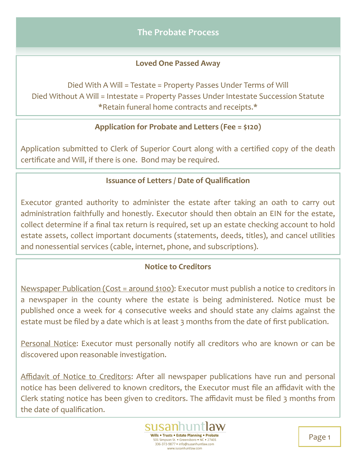# **Loved One Passed Away**

Died With A Will = Testate = Property Passes Under Terms of Will Died Without A Will = Intestate = Property Passes Under Intestate Succession Statute \*Retain funeral home contracts and receipts.\*

# **Application for Probate and Letters (Fee = \$120)**

Application submitted to Clerk of Superior Court along with a certified copy of the death certificate and Will, if there is one. Bond may be required.

### **Issuance of Letters / Date of Qualification**

Executor granted authority to administer the estate after taking an oath to carry out administration faithfully and honestly. Executor should then obtain an EIN for the estate, collect determine if a final tax return is required, set up an estate checking account to hold estate assets, collect important documents (statements, deeds, titles), and cancel utilities and nonessential services (cable, internet, phone, and subscriptions).

# **Notice to Creditors**

Newspaper Publication (Cost = around \$100): Executor must publish a notice to creditors in a newspaper in the county where the estate is being administered. Notice must be published once a week for 4 consecutive weeks and should state any claims against the estate must be filed by a date which is at least 3 months from the date of first publication.

Personal Notice: Executor must personally notify all creditors who are known or can be discovered upon reasonable investigation.

Affidavit of Notice to Creditors: After all newspaper publications have run and personal notice has been delivered to known creditors, the Executor must file an affidavit with the Clerk stating notice has been given to creditors. The affidavit must be filed 3 months from the date of qualification.